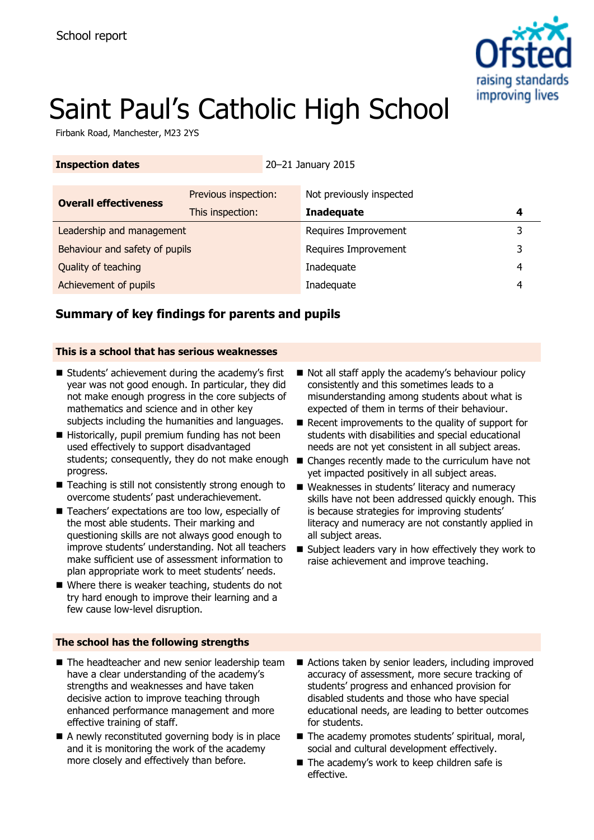

# Saint Paul's Catholic High School

Firbank Road, Manchester, M23 2YS

### **Inspection dates** 20–21 January 2015

| Previous inspection:           | Not previously inspected |   |
|--------------------------------|--------------------------|---|
| This inspection:               | <b>Inadequate</b>        |   |
| Leadership and management      | Requires Improvement     |   |
| Behaviour and safety of pupils | Requires Improvement     |   |
|                                | Inadequate               | 4 |
|                                | Inadequate               | 4 |
|                                |                          |   |

# **Summary of key findings for parents and pupils**

### **This is a school that has serious weaknesses**

- Students' achievement during the academy's first year was not good enough. In particular, they did not make enough progress in the core subjects of mathematics and science and in other key subjects including the humanities and languages.
- Historically, pupil premium funding has not been used effectively to support disadvantaged students; consequently, they do not make enough progress.
- Teaching is still not consistently strong enough to overcome students' past underachievement.
- Teachers' expectations are too low, especially of the most able students. Their marking and questioning skills are not always good enough to improve students' understanding. Not all teachers make sufficient use of assessment information to plan appropriate work to meet students' needs.
- Where there is weaker teaching, students do not try hard enough to improve their learning and a few cause low-level disruption.

### **The school has the following strengths**

- The headteacher and new senior leadership team have a clear understanding of the academy's strengths and weaknesses and have taken decisive action to improve teaching through enhanced performance management and more effective training of staff.
- A newly reconstituted governing body is in place and it is monitoring the work of the academy more closely and effectively than before.
- Not all staff apply the academy's behaviour policy consistently and this sometimes leads to a misunderstanding among students about what is expected of them in terms of their behaviour.
- Recent improvements to the quality of support for students with disabilities and special educational needs are not yet consistent in all subject areas.
- Changes recently made to the curriculum have not yet impacted positively in all subject areas.
- Weaknesses in students' literacy and numeracy skills have not been addressed quickly enough. This is because strategies for improving students' literacy and numeracy are not constantly applied in all subject areas.
- Subject leaders vary in how effectively they work to raise achievement and improve teaching.

- Actions taken by senior leaders, including improved accuracy of assessment, more secure tracking of students' progress and enhanced provision for disabled students and those who have special educational needs, are leading to better outcomes for students.
- The academy promotes students' spiritual, moral, social and cultural development effectively.
- The academy's work to keep children safe is effective.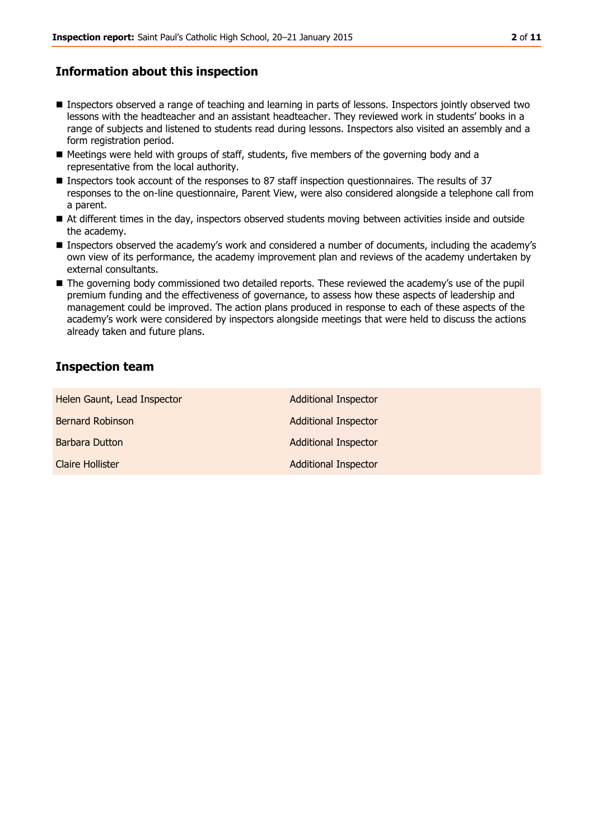## **Information about this inspection**

- **Inspectors observed a range of teaching and learning in parts of lessons. Inspectors jointly observed two** lessons with the headteacher and an assistant headteacher. They reviewed work in students' books in a range of subjects and listened to students read during lessons. Inspectors also visited an assembly and a form registration period.
- Meetings were held with groups of staff, students, five members of the governing body and a representative from the local authority.
- Inspectors took account of the responses to 87 staff inspection questionnaires. The results of 37 responses to the on-line questionnaire, Parent View, were also considered alongside a telephone call from a parent.
- At different times in the day, inspectors observed students moving between activities inside and outside the academy.
- **Inspectors observed the academy's work and considered a number of documents, including the academy's** own view of its performance, the academy improvement plan and reviews of the academy undertaken by external consultants.
- The governing body commissioned two detailed reports. These reviewed the academy's use of the pupil premium funding and the effectiveness of governance, to assess how these aspects of leadership and management could be improved. The action plans produced in response to each of these aspects of the academy's work were considered by inspectors alongside meetings that were held to discuss the actions already taken and future plans.

# **Inspection team**

| Helen Gaunt, Lead Inspector | <b>Additional Inspector</b> |
|-----------------------------|-----------------------------|
| <b>Bernard Robinson</b>     | <b>Additional Inspector</b> |
| Barbara Dutton              | <b>Additional Inspector</b> |
| <b>Claire Hollister</b>     | <b>Additional Inspector</b> |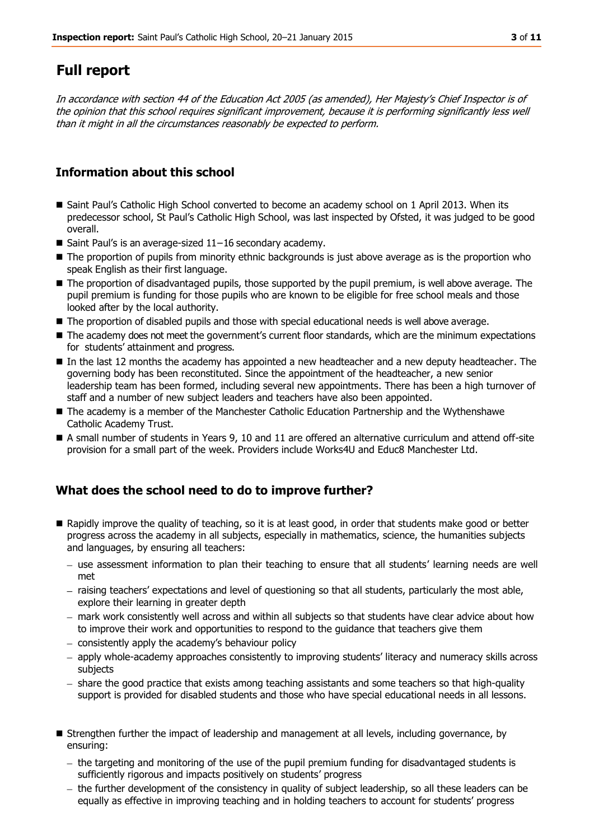# **Full report**

In accordance with section 44 of the Education Act 2005 (as amended), Her Majesty's Chief Inspector is of the opinion that this school requires significant improvement, because it is performing significantly less well than it might in all the circumstances reasonably be expected to perform.

# **Information about this school**

- Saint Paul's Catholic High School converted to become an academy school on 1 April 2013. When its predecessor school, St Paul's Catholic High School, was last inspected by Ofsted, it was judged to be good overall.
- Saint Paul's is an average-sized 11-16 secondary academy.
- The proportion of pupils from minority ethnic backgrounds is just above average as is the proportion who speak English as their first language.
- The proportion of disadvantaged pupils, those supported by the pupil premium, is well above average. The pupil premium is funding for those pupils who are known to be eligible for free school meals and those looked after by the local authority.
- The proportion of disabled pupils and those with special educational needs is well above average.
- The academy does not meet the government's current floor standards, which are the minimum expectations for students' attainment and progress.
- In the last 12 months the academy has appointed a new headteacher and a new deputy headteacher. The governing body has been reconstituted. Since the appointment of the headteacher, a new senior leadership team has been formed, including several new appointments. There has been a high turnover of staff and a number of new subject leaders and teachers have also been appointed.
- The academy is a member of the Manchester Catholic Education Partnership and the Wythenshawe Catholic Academy Trust.
- A small number of students in Years 9, 10 and 11 are offered an alternative curriculum and attend off-site provision for a small part of the week. Providers include Works4U and Educ8 Manchester Ltd.

# **What does the school need to do to improve further?**

- Rapidly improve the quality of teaching, so it is at least good, in order that students make good or better progress across the academy in all subjects, especially in mathematics, science, the humanities subjects and languages, by ensuring all teachers:
	- use assessment information to plan their teaching to ensure that all students' learning needs are well met
	- raising teachers' expectations and level of questioning so that all students, particularly the most able, explore their learning in greater depth
	- mark work consistently well across and within all subjects so that students have clear advice about how to improve their work and opportunities to respond to the guidance that teachers give them
	- consistently apply the academy's behaviour policy
	- apply whole-academy approaches consistently to improving students' literacy and numeracy skills across subjects
	- share the good practice that exists among teaching assistants and some teachers so that high-quality support is provided for disabled students and those who have special educational needs in all lessons.
- **Strengthen further the impact of leadership and management at all levels, including governance, by** ensuring:
	- the targeting and monitoring of the use of the pupil premium funding for disadvantaged students is sufficiently rigorous and impacts positively on students' progress
	- the further development of the consistency in quality of subject leadership, so all these leaders can be equally as effective in improving teaching and in holding teachers to account for students' progress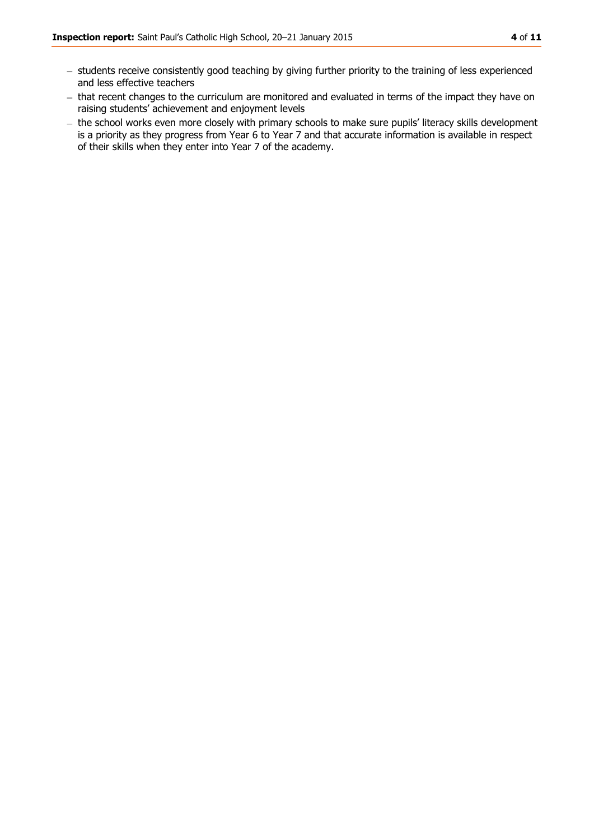- students receive consistently good teaching by giving further priority to the training of less experienced and less effective teachers
- that recent changes to the curriculum are monitored and evaluated in terms of the impact they have on raising students' achievement and enjoyment levels
- the school works even more closely with primary schools to make sure pupils' literacy skills development is a priority as they progress from Year 6 to Year 7 and that accurate information is available in respect of their skills when they enter into Year 7 of the academy.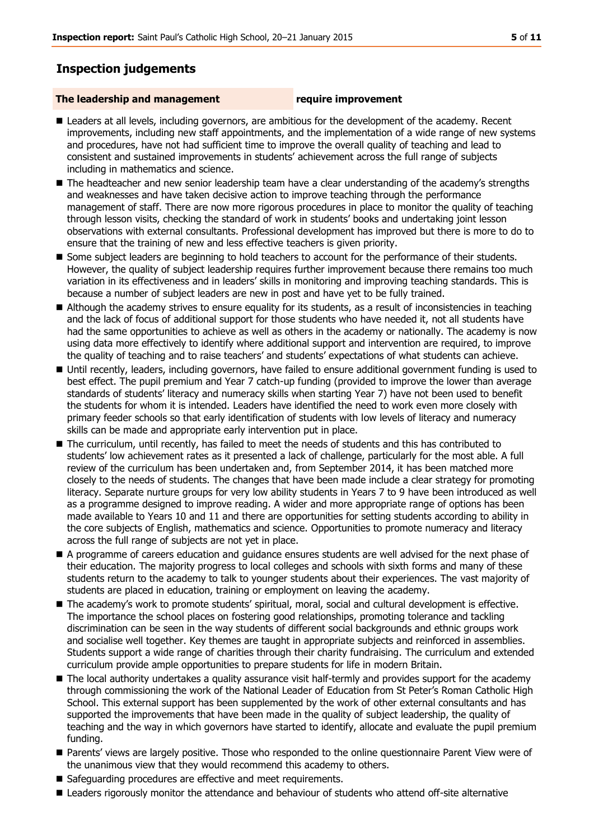# **Inspection judgements**

#### **The leadership and management require improvement**

- **Leaders at all levels, including governors, are ambitious for the development of the academy. Recent** improvements, including new staff appointments, and the implementation of a wide range of new systems and procedures, have not had sufficient time to improve the overall quality of teaching and lead to consistent and sustained improvements in students' achievement across the full range of subjects including in mathematics and science.
- The headteacher and new senior leadership team have a clear understanding of the academy's strengths and weaknesses and have taken decisive action to improve teaching through the performance management of staff. There are now more rigorous procedures in place to monitor the quality of teaching through lesson visits, checking the standard of work in students' books and undertaking joint lesson observations with external consultants. Professional development has improved but there is more to do to ensure that the training of new and less effective teachers is given priority.
- Some subject leaders are beginning to hold teachers to account for the performance of their students. However, the quality of subject leadership requires further improvement because there remains too much variation in its effectiveness and in leaders' skills in monitoring and improving teaching standards. This is because a number of subject leaders are new in post and have yet to be fully trained.
- Although the academy strives to ensure equality for its students, as a result of inconsistencies in teaching and the lack of focus of additional support for those students who have needed it, not all students have had the same opportunities to achieve as well as others in the academy or nationally. The academy is now using data more effectively to identify where additional support and intervention are required, to improve the quality of teaching and to raise teachers' and students' expectations of what students can achieve.
- Until recently, leaders, including governors, have failed to ensure additional government funding is used to best effect. The pupil premium and Year 7 catch-up funding (provided to improve the lower than average standards of students' literacy and numeracy skills when starting Year 7) have not been used to benefit the students for whom it is intended. Leaders have identified the need to work even more closely with primary feeder schools so that early identification of students with low levels of literacy and numeracy skills can be made and appropriate early intervention put in place.
- The curriculum, until recently, has failed to meet the needs of students and this has contributed to students' low achievement rates as it presented a lack of challenge, particularly for the most able. A full review of the curriculum has been undertaken and, from September 2014, it has been matched more closely to the needs of students. The changes that have been made include a clear strategy for promoting literacy. Separate nurture groups for very low ability students in Years 7 to 9 have been introduced as well as a programme designed to improve reading. A wider and more appropriate range of options has been made available to Years 10 and 11 and there are opportunities for setting students according to ability in the core subjects of English, mathematics and science. Opportunities to promote numeracy and literacy across the full range of subjects are not yet in place.
- A programme of careers education and quidance ensures students are well advised for the next phase of their education. The majority progress to local colleges and schools with sixth forms and many of these students return to the academy to talk to younger students about their experiences. The vast majority of students are placed in education, training or employment on leaving the academy.
- The academy's work to promote students' spiritual, moral, social and cultural development is effective. The importance the school places on fostering good relationships, promoting tolerance and tackling discrimination can be seen in the way students of different social backgrounds and ethnic groups work and socialise well together. Key themes are taught in appropriate subjects and reinforced in assemblies. Students support a wide range of charities through their charity fundraising. The curriculum and extended curriculum provide ample opportunities to prepare students for life in modern Britain.
- The local authority undertakes a quality assurance visit half-termly and provides support for the academy through commissioning the work of the National Leader of Education from St Peter's Roman Catholic High School. This external support has been supplemented by the work of other external consultants and has supported the improvements that have been made in the quality of subject leadership, the quality of teaching and the way in which governors have started to identify, allocate and evaluate the pupil premium funding.
- **Parents' views are largely positive. Those who responded to the online questionnaire Parent View were of** the unanimous view that they would recommend this academy to others.
- Safeguarding procedures are effective and meet requirements.
- **E** Leaders rigorously monitor the attendance and behaviour of students who attend off-site alternative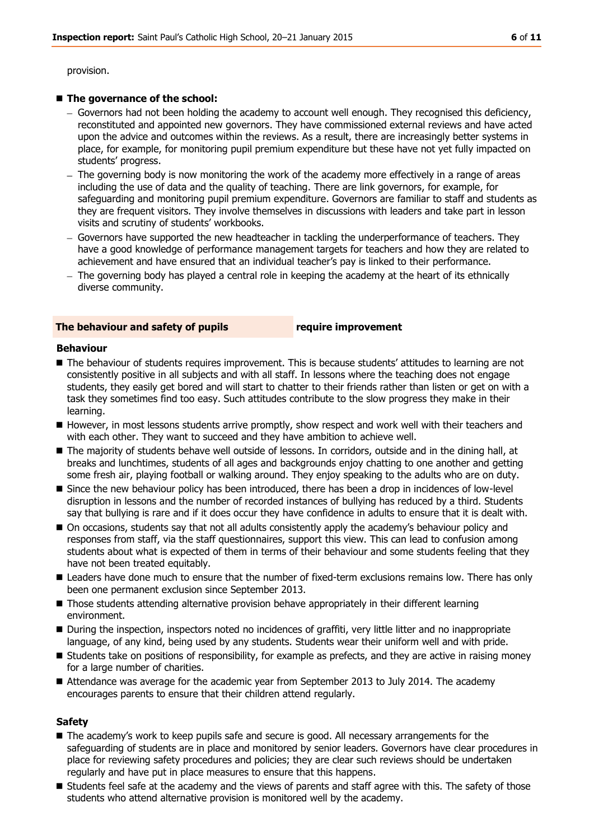provision.

#### ■ The governance of the school:

- Governors had not been holding the academy to account well enough. They recognised this deficiency, reconstituted and appointed new governors. They have commissioned external reviews and have acted upon the advice and outcomes within the reviews. As a result, there are increasingly better systems in place, for example, for monitoring pupil premium expenditure but these have not yet fully impacted on students' progress.
- The governing body is now monitoring the work of the academy more effectively in a range of areas including the use of data and the quality of teaching. There are link governors, for example, for safeguarding and monitoring pupil premium expenditure. Governors are familiar to staff and students as they are frequent visitors. They involve themselves in discussions with leaders and take part in lesson visits and scrutiny of students' workbooks.
- Governors have supported the new headteacher in tackling the underperformance of teachers. They have a good knowledge of performance management targets for teachers and how they are related to achievement and have ensured that an individual teacher's pay is linked to their performance.
- $-$  The governing body has played a central role in keeping the academy at the heart of its ethnically diverse community.

#### **The behaviour and safety of pupils require improvement**

#### **Behaviour**

- **The behaviour of students requires improvement. This is because students' attitudes to learning are not** consistently positive in all subjects and with all staff. In lessons where the teaching does not engage students, they easily get bored and will start to chatter to their friends rather than listen or get on with a task they sometimes find too easy. Such attitudes contribute to the slow progress they make in their learning.
- However, in most lessons students arrive promptly, show respect and work well with their teachers and with each other. They want to succeed and they have ambition to achieve well.
- The majority of students behave well outside of lessons. In corridors, outside and in the dining hall, at breaks and lunchtimes, students of all ages and backgrounds enjoy chatting to one another and getting some fresh air, playing football or walking around. They enjoy speaking to the adults who are on duty.
- Since the new behaviour policy has been introduced, there has been a drop in incidences of low-level disruption in lessons and the number of recorded instances of bullying has reduced by a third. Students say that bullying is rare and if it does occur they have confidence in adults to ensure that it is dealt with.
- $\blacksquare$  On occasions, students say that not all adults consistently apply the academy's behaviour policy and responses from staff, via the staff questionnaires, support this view. This can lead to confusion among students about what is expected of them in terms of their behaviour and some students feeling that they have not been treated equitably.
- **Leaders have done much to ensure that the number of fixed-term exclusions remains low. There has only** been one permanent exclusion since September 2013.
- **Those students attending alternative provision behave appropriately in their different learning** environment.
- **During the inspection, inspectors noted no incidences of graffiti, very little litter and no inappropriate** language, of any kind, being used by any students. Students wear their uniform well and with pride.
- Students take on positions of responsibility, for example as prefects, and they are active in raising money for a large number of charities.
- Attendance was average for the academic year from September 2013 to July 2014. The academy encourages parents to ensure that their children attend regularly.

### **Safety**

- The academy's work to keep pupils safe and secure is good. All necessary arrangements for the safeguarding of students are in place and monitored by senior leaders. Governors have clear procedures in place for reviewing safety procedures and policies; they are clear such reviews should be undertaken regularly and have put in place measures to ensure that this happens.
- **Students feel safe at the academy and the views of parents and staff agree with this. The safety of those** students who attend alternative provision is monitored well by the academy.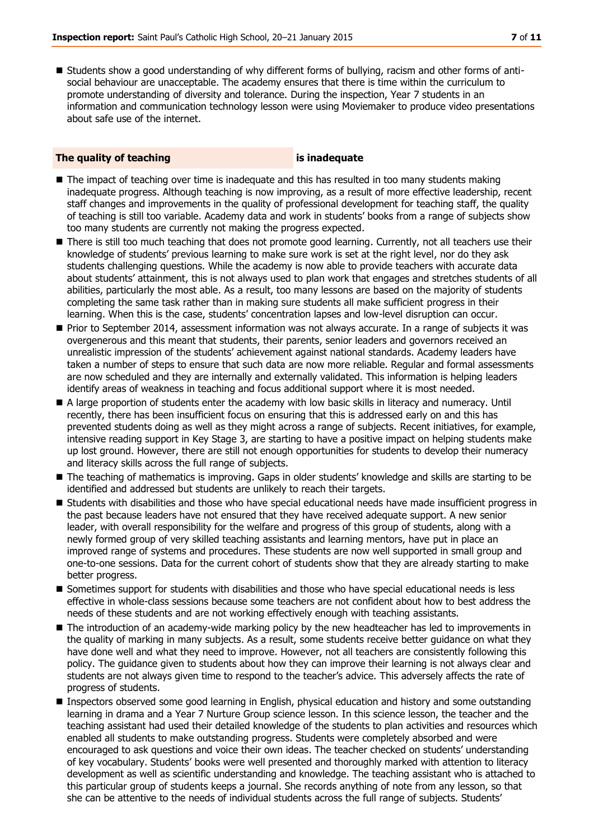Students show a good understanding of why different forms of bullying, racism and other forms of antisocial behaviour are unacceptable. The academy ensures that there is time within the curriculum to promote understanding of diversity and tolerance. During the inspection, Year 7 students in an information and communication technology lesson were using Moviemaker to produce video presentations about safe use of the internet.

### **The quality of teaching is inadequate**

- The impact of teaching over time is inadequate and this has resulted in too many students making inadequate progress. Although teaching is now improving, as a result of more effective leadership, recent staff changes and improvements in the quality of professional development for teaching staff, the quality of teaching is still too variable. Academy data and work in students' books from a range of subjects show too many students are currently not making the progress expected.
- There is still too much teaching that does not promote good learning. Currently, not all teachers use their knowledge of students' previous learning to make sure work is set at the right level, nor do they ask students challenging questions. While the academy is now able to provide teachers with accurate data about students' attainment, this is not always used to plan work that engages and stretches students of all abilities, particularly the most able. As a result, too many lessons are based on the majority of students completing the same task rather than in making sure students all make sufficient progress in their learning. When this is the case, students' concentration lapses and low-level disruption can occur.
- **Prior to September 2014, assessment information was not always accurate. In a range of subjects it was** overgenerous and this meant that students, their parents, senior leaders and governors received an unrealistic impression of the students' achievement against national standards. Academy leaders have taken a number of steps to ensure that such data are now more reliable. Regular and formal assessments are now scheduled and they are internally and externally validated. This information is helping leaders identify areas of weakness in teaching and focus additional support where it is most needed.
- A large proportion of students enter the academy with low basic skills in literacy and numeracy. Until recently, there has been insufficient focus on ensuring that this is addressed early on and this has prevented students doing as well as they might across a range of subjects. Recent initiatives, for example, intensive reading support in Key Stage 3, are starting to have a positive impact on helping students make up lost ground. However, there are still not enough opportunities for students to develop their numeracy and literacy skills across the full range of subjects.
- The teaching of mathematics is improving. Gaps in older students' knowledge and skills are starting to be identified and addressed but students are unlikely to reach their targets.
- Students with disabilities and those who have special educational needs have made insufficient progress in the past because leaders have not ensured that they have received adequate support. A new senior leader, with overall responsibility for the welfare and progress of this group of students, along with a newly formed group of very skilled teaching assistants and learning mentors, have put in place an improved range of systems and procedures. These students are now well supported in small group and one-to-one sessions. Data for the current cohort of students show that they are already starting to make better progress.
- Sometimes support for students with disabilities and those who have special educational needs is less effective in whole-class sessions because some teachers are not confident about how to best address the needs of these students and are not working effectively enough with teaching assistants.
- The introduction of an academy-wide marking policy by the new headteacher has led to improvements in the quality of marking in many subjects. As a result, some students receive better guidance on what they have done well and what they need to improve. However, not all teachers are consistently following this policy. The guidance given to students about how they can improve their learning is not always clear and students are not always given time to respond to the teacher's advice. This adversely affects the rate of progress of students.
- **Inspectors observed some good learning in English, physical education and history and some outstanding** learning in drama and a Year 7 Nurture Group science lesson. In this science lesson, the teacher and the teaching assistant had used their detailed knowledge of the students to plan activities and resources which enabled all students to make outstanding progress. Students were completely absorbed and were encouraged to ask questions and voice their own ideas. The teacher checked on students' understanding of key vocabulary. Students' books were well presented and thoroughly marked with attention to literacy development as well as scientific understanding and knowledge. The teaching assistant who is attached to this particular group of students keeps a journal. She records anything of note from any lesson, so that she can be attentive to the needs of individual students across the full range of subjects. Students'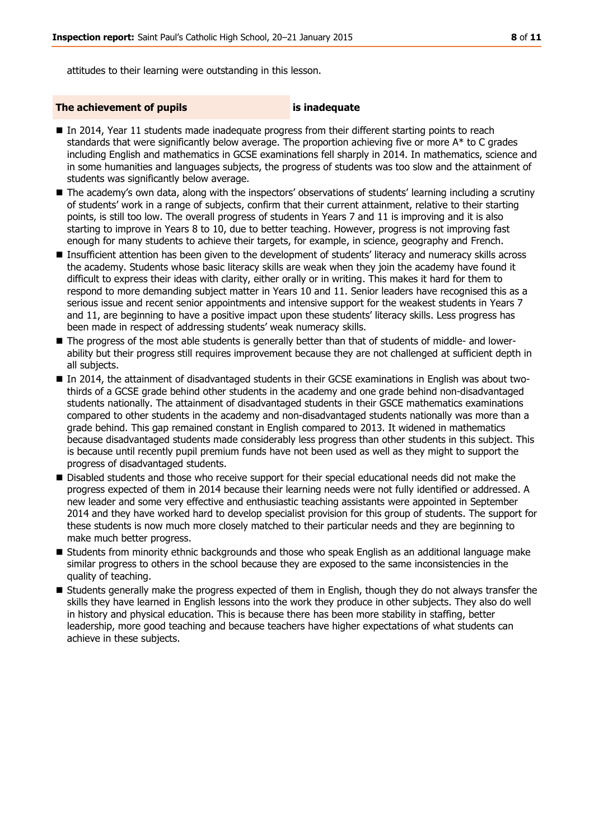attitudes to their learning were outstanding in this lesson.

#### **The achievement of pupils is inadequate**

- In 2014, Year 11 students made inadequate progress from their different starting points to reach standards that were significantly below average. The proportion achieving five or more A\* to C grades including English and mathematics in GCSE examinations fell sharply in 2014. In mathematics, science and in some humanities and languages subjects, the progress of students was too slow and the attainment of students was significantly below average.
- The academy's own data, along with the inspectors' observations of students' learning including a scrutiny of students' work in a range of subjects, confirm that their current attainment, relative to their starting points, is still too low. The overall progress of students in Years 7 and 11 is improving and it is also starting to improve in Years 8 to 10, due to better teaching. However, progress is not improving fast enough for many students to achieve their targets, for example, in science, geography and French.
- **Insufficient attention has been given to the development of students' literacy and numeracy skills across** the academy. Students whose basic literacy skills are weak when they join the academy have found it difficult to express their ideas with clarity, either orally or in writing. This makes it hard for them to respond to more demanding subject matter in Years 10 and 11. Senior leaders have recognised this as a serious issue and recent senior appointments and intensive support for the weakest students in Years 7 and 11, are beginning to have a positive impact upon these students' literacy skills. Less progress has been made in respect of addressing students' weak numeracy skills.
- The progress of the most able students is generally better than that of students of middle- and lowerability but their progress still requires improvement because they are not challenged at sufficient depth in all subjects.
- In 2014, the attainment of disadvantaged students in their GCSE examinations in English was about twothirds of a GCSE grade behind other students in the academy and one grade behind non-disadvantaged students nationally. The attainment of disadvantaged students in their GSCE mathematics examinations compared to other students in the academy and non-disadvantaged students nationally was more than a grade behind. This gap remained constant in English compared to 2013. It widened in mathematics because disadvantaged students made considerably less progress than other students in this subject. This is because until recently pupil premium funds have not been used as well as they might to support the progress of disadvantaged students.
- **Disabled students and those who receive support for their special educational needs did not make the** progress expected of them in 2014 because their learning needs were not fully identified or addressed. A new leader and some very effective and enthusiastic teaching assistants were appointed in September 2014 and they have worked hard to develop specialist provision for this group of students. The support for these students is now much more closely matched to their particular needs and they are beginning to make much better progress.
- Students from minority ethnic backgrounds and those who speak English as an additional language make similar progress to others in the school because they are exposed to the same inconsistencies in the quality of teaching.
- **Students generally make the progress expected of them in English, though they do not always transfer the** skills they have learned in English lessons into the work they produce in other subjects. They also do well in history and physical education. This is because there has been more stability in staffing, better leadership, more good teaching and because teachers have higher expectations of what students can achieve in these subjects.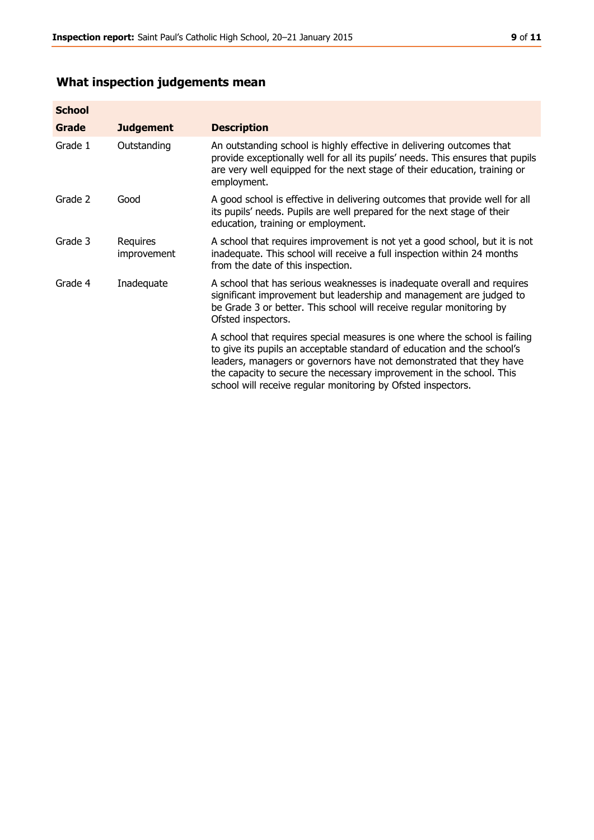# **What inspection judgements mean**

| <b>School</b> |                         |                                                                                                                                                                                                                                                                                                                                                                      |
|---------------|-------------------------|----------------------------------------------------------------------------------------------------------------------------------------------------------------------------------------------------------------------------------------------------------------------------------------------------------------------------------------------------------------------|
| <b>Grade</b>  | <b>Judgement</b>        | <b>Description</b>                                                                                                                                                                                                                                                                                                                                                   |
| Grade 1       | Outstanding             | An outstanding school is highly effective in delivering outcomes that<br>provide exceptionally well for all its pupils' needs. This ensures that pupils<br>are very well equipped for the next stage of their education, training or<br>employment.                                                                                                                  |
| Grade 2       | Good                    | A good school is effective in delivering outcomes that provide well for all<br>its pupils' needs. Pupils are well prepared for the next stage of their<br>education, training or employment.                                                                                                                                                                         |
| Grade 3       | Requires<br>improvement | A school that requires improvement is not yet a good school, but it is not<br>inadequate. This school will receive a full inspection within 24 months<br>from the date of this inspection.                                                                                                                                                                           |
| Grade 4       | Inadequate              | A school that has serious weaknesses is inadequate overall and requires<br>significant improvement but leadership and management are judged to<br>be Grade 3 or better. This school will receive regular monitoring by<br>Ofsted inspectors.                                                                                                                         |
|               |                         | A school that requires special measures is one where the school is failing<br>to give its pupils an acceptable standard of education and the school's<br>leaders, managers or governors have not demonstrated that they have<br>the capacity to secure the necessary improvement in the school. This<br>school will receive regular monitoring by Ofsted inspectors. |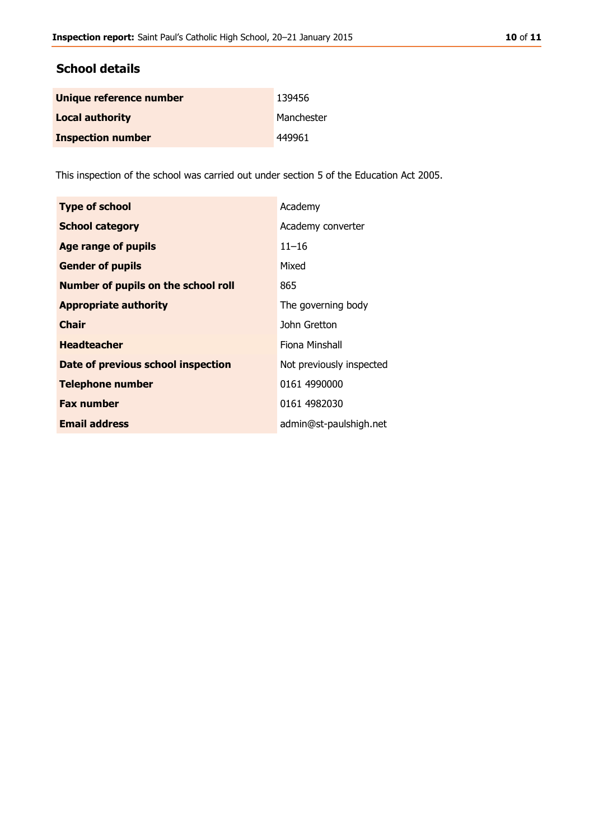# **School details**

| Unique reference number  | 139456     |
|--------------------------|------------|
| <b>Local authority</b>   | Manchester |
| <b>Inspection number</b> | 449961     |

This inspection of the school was carried out under section 5 of the Education Act 2005.

| <b>Type of school</b>                      | Academy                  |
|--------------------------------------------|--------------------------|
| <b>School category</b>                     | Academy converter        |
| <b>Age range of pupils</b>                 | $11 - 16$                |
| <b>Gender of pupils</b>                    | Mixed                    |
| <b>Number of pupils on the school roll</b> | 865                      |
| <b>Appropriate authority</b>               | The governing body       |
| <b>Chair</b>                               | John Gretton             |
| <b>Headteacher</b>                         | Fiona Minshall           |
| Date of previous school inspection         | Not previously inspected |
| <b>Telephone number</b>                    | 0161 4990000             |
| <b>Fax number</b>                          | 0161 4982030             |
| <b>Email address</b>                       | admin@st-paulshigh.net   |